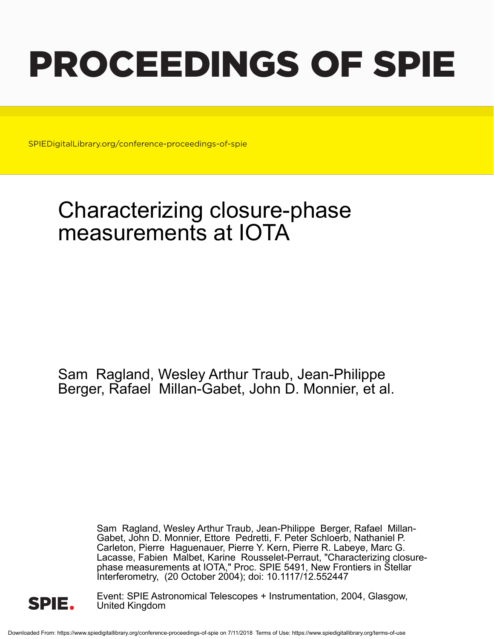# PROCEEDINGS OF SPIE

SPIEDigitalLibrary.org/conference-proceedings-of-spie

## Characterizing closure-phase measurements at IOTA

Sam Ragland, Wesley Arthur Traub, Jean-Philippe Berger, Rafael Millan-Gabet, John D. Monnier, et al.

> Sam Ragland, Wesley Arthur Traub, Jean-Philippe Berger, Rafael Millan-Gabet, John D. Monnier, Ettore Pedretti, F. Peter Schloerb, Nathaniel P. Carleton, Pierre Haguenauer, Pierre Y. Kern, Pierre R. Labeye, Marc G. Lacasse, Fabien Malbet, Karine Rousselet-Perraut, "Characterizing closurephase measurements at IOTA," Proc. SPIE 5491, New Frontiers in Stellar Interferometry, (20 October 2004); doi: 10.1117/12.552447



Event: SPIE Astronomical Telescopes + Instrumentation, 2004, Glasgow, United Kingdom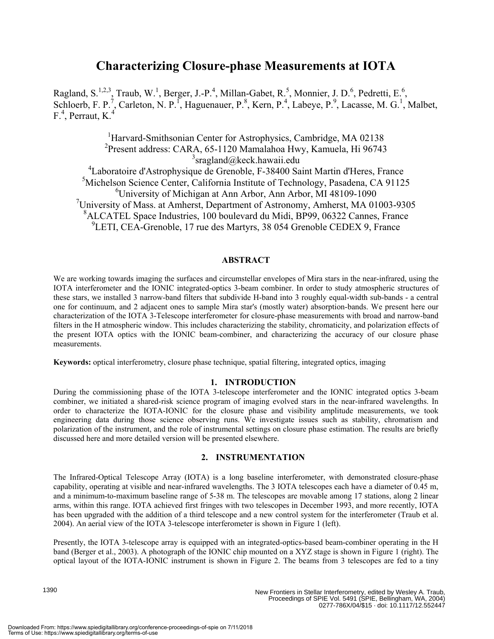### **Characterizing Closure-phase Measurements at IOTA**

Ragland, S.<sup>1,2,3</sup>, Traub, W.<sup>1</sup>, Berger, J.-P.<sup>4</sup>, Millan-Gabet, R.<sup>5</sup>, Monnier, J. D.<sup>6</sup>, Pedretti, E.<sup>6</sup>, Schloerb, F. P.<sup>7</sup>, Carleton, N. P.<sup>1</sup>, Haguenauer, P.<sup>8</sup>, Kern, P.<sup>4</sup>, Labeye, P.<sup>9</sup>, Lacasse, M. G.<sup>1</sup>, Malbet,  $F^4$ , Perraut, K.<sup>4</sup>

<sup>1</sup>Harvard-Smithsonian Center for Astrophysics, Cambridge, MA 02138 Present address: CARA, 65-1120 Mamalahoa Hwy, Kamuela, Hi 96743 <sup>3</sup>sragland@keck.hawaii.edu Laboratoire d'Astrophysique de Grenoble, F-38400 Saint Martin d'Heres, France Michelson Science Center, California Institute of Technology, Pasadena, CA 91125 University of Michigan at Ann Arbor, Ann Arbor, MI 48109-1090 University of Mass. at Amherst, Department of Astronomy, Amherst, MA 01003-9305 ALCATEL Space Industries, 100 boulevard du Midi, BP99, 06322 Cannes, France <sup>9</sup>LETI, CEA-Grenoble, 17 rue des Martyrs, 38 054 Grenoble CEDEX 9, France

#### **ABSTRACT**

We are working towards imaging the surfaces and circumstellar envelopes of Mira stars in the near-infrared, using the IOTA interferometer and the IONIC integrated-optics 3-beam combiner. In order to study atmospheric structures of these stars, we installed 3 narrow-band filters that subdivide H-band into 3 roughly equal-width sub-bands - a central one for continuum, and 2 adjacent ones to sample Mira star's (mostly water) absorption-bands. We present here our characterization of the IOTA 3-Telescope interferometer for closure-phase measurements with broad and narrow-band filters in the H atmospheric window. This includes characterizing the stability, chromaticity, and polarization effects of the present IOTA optics with the IONIC beam-combiner, and characterizing the accuracy of our closure phase measurements.

**Keywords:** optical interferometry, closure phase technique, spatial filtering, integrated optics, imaging

#### **1. INTRODUCTION**

During the commissioning phase of the IOTA 3-telescope interferometer and the IONIC integrated optics 3-beam combiner, we initiated a shared-risk science program of imaging evolved stars in the near-infrared wavelengths. In order to characterize the IOTA-IONIC for the closure phase and visibility amplitude measurements, we took engineering data during those science observing runs. We investigate issues such as stability, chromatism and polarization of the instrument, and the role of instrumental settings on closure phase estimation. The results are briefly discussed here and more detailed version will be presented elsewhere.

#### **2. INSTRUMENTATION**

The Infrared-Optical Telescope Array (IOTA) is a long baseline interferometer, with demonstrated closure-phase capability, operating at visible and near-infrared wavelengths. The 3 IOTA telescopes each have a diameter of 0.45 m, and a minimum-to-maximum baseline range of 5-38 m. The telescopes are movable among 17 stations, along 2 linear arms, within this range. IOTA achieved first fringes with two telescopes in December 1993, and more recently, IOTA has been upgraded with the addition of a third telescope and a new control system for the interferometer (Traub et al. 2004). An aerial view of the IOTA 3-telescope interferometer is shown in Figure 1 (left).

Presently, the IOTA 3-telescope array is equipped with an integrated-optics-based beam-combiner operating in the H band (Berger et al., 2003). A photograph of the IONIC chip mounted on a XYZ stage is shown in Figure 1 (right). The optical layout of the IOTA-IONIC instrument is shown in Figure 2. The beams from 3 telescopes are fed to a tiny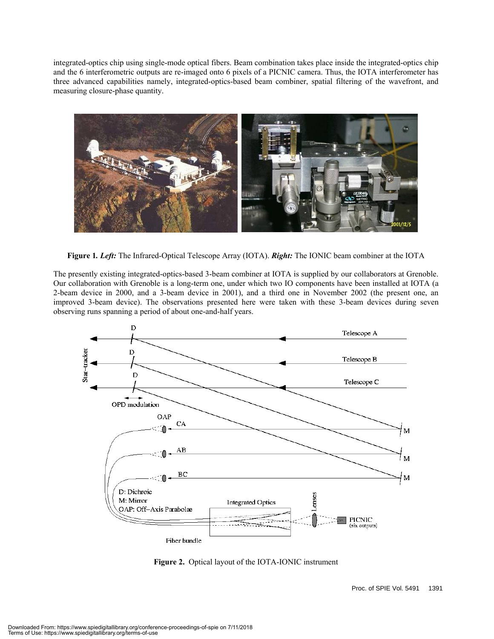integrated-optics chip using single-mode optical fibers. Beam combination takes place inside the integrated-optics chip and the 6 interferometric outputs are re-imaged onto 6 pixels of a PICNIC camera. Thus, the IOTA interferometer has three advanced capabilities namely, integrated-optics-based beam combiner, spatial filtering of the wavefront, and measuring closure-phase quantity.



**Figure 1***. Left:* The Infrared-Optical Telescope Array (IOTA). *Right:* The IONIC beam combiner at the IOTA

The presently existing integrated-optics-based 3-beam combiner at IOTA is supplied by our collaborators at Grenoble. Our collaboration with Grenoble is a long-term one, under which two IO components have been installed at IOTA (a 2-beam device in 2000, and a 3-beam device in 2001), and a third one in November 2002 (the present one, an improved 3-beam device). The observations presented here were taken with these 3-beam devices during seven observing runs spanning a period of about one-and-half years.



**Figure 2.** Optical layout of the IOTA-IONIC instrument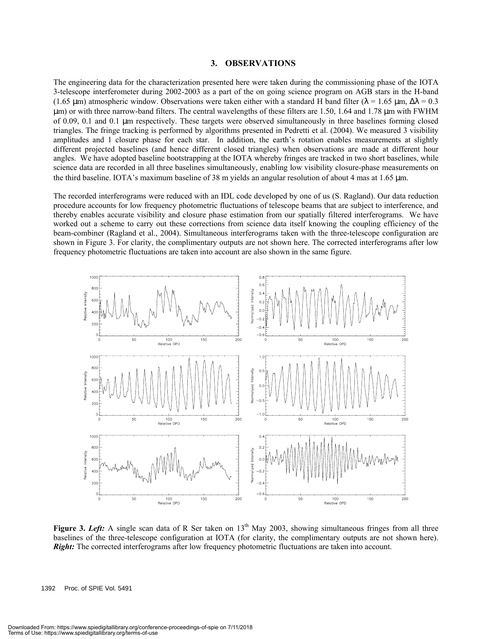#### **3. OBSERVATIONS**

The engineering data for the characterization presented here were taken during the commissioning phase of the IOTA 3-telescope interferometer during 2002-2003 as a part of the on going science program on AGB stars in the H-band (1.65 µm) atmospheric window. Observations were taken either with a standard H band filter ( $\lambda$  = 1.65 µm,  $\Delta\lambda$  = 0.3 µm) or with three narrow-band filters. The central wavelengths of these filters are 1.50, 1.64 and 1.78 µm with FWHM of 0.09, 0.1 and 0.1 µm respectively. These targets were observed simultaneously in three baselines forming closed triangles. The fringe tracking is performed by algorithms presented in Pedretti et al. (2004). We measured 3 visibility amplitudes and 1 closure phase for each star. In addition, the earth's rotation enables measurements at slightly different projected baselines (and hence different closed triangles) when observations are made at different hour angles. We have adopted baseline bootstrapping at the IOTA whereby fringes are tracked in two short baselines, while science data are recorded in all three baselines simultaneously, enabling low visibility closure-phase measurements on the third baseline. IOTA's maximum baseline of 38 m yields an angular resolution of about 4 mas at 1.65 µm.

The recorded interferograms were reduced with an IDL code developed by one of us (S. Ragland). Our data reduction procedure accounts for low frequency photometric fluctuations of telescope beams that are subject to interference, and thereby enables accurate visibility and closure phase estimation from our spatially filtered interferograms. We have worked out a scheme to carry out these corrections from science data itself knowing the coupling efficiency of the beam-combiner (Ragland et al., 2004). Simultaneous interferograms taken with the three-telescope configuration are shown in Figure 3. For clarity, the complimentary outputs are not shown here. The corrected interferograms after low frequency photometric fluctuations are taken into account are also shown in the same figure.



**Figure 3. Left:** A single scan data of R Ser taken on  $13<sup>th</sup>$  May 2003, showing simultaneous fringes from all three baselines of the three-telescope configuration at IOTA (for clarity, the complimentary outputs are not shown here). *Right:* The corrected interferograms after low frequency photometric fluctuations are taken into account.

1392 Proc. of SPIE Vol. 5491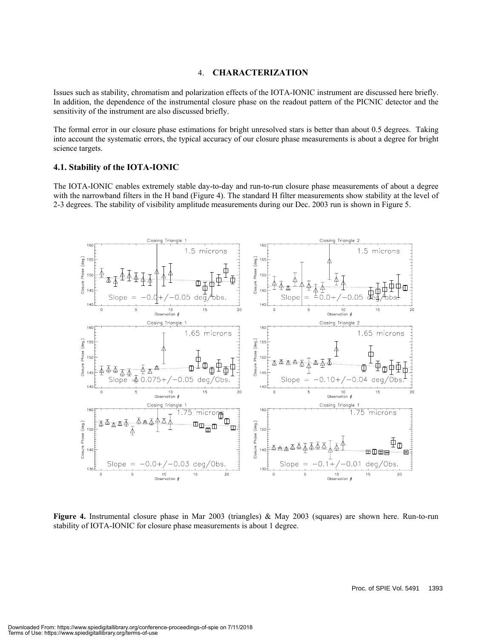#### 4. **CHARACTERIZATION**

Issues such as stability, chromatism and polarization effects of the IOTA-IONIC instrument are discussed here briefly. In addition, the dependence of the instrumental closure phase on the readout pattern of the PICNIC detector and the sensitivity of the instrument are also discussed briefly.

The formal error in our closure phase estimations for bright unresolved stars is better than about 0.5 degrees. Taking into account the systematic errors, the typical accuracy of our closure phase measurements is about a degree for bright science targets.

#### **4.1. Stability of the IOTA-IONIC**

The IOTA-IONIC enables extremely stable day-to-day and run-to-run closure phase measurements of about a degree with the narrowband filters in the H band (Figure 4). The standard H filter measurements show stability at the level of 2-3 degrees. The stability of visibility amplitude measurements during our Dec. 2003 run is shown in Figure 5.



**Figure 4.** Instrumental closure phase in Mar 2003 (triangles) & May 2003 (squares) are shown here. Run-to-run stability of IOTA-IONIC for closure phase measurements is about 1 degree.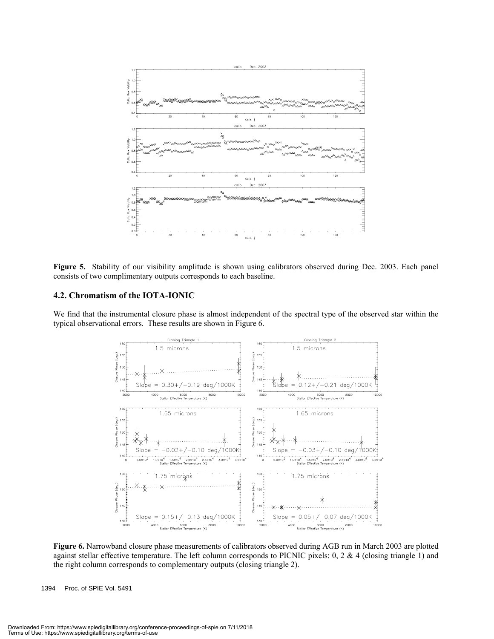

**Figure 5.** Stability of our visibility amplitude is shown using calibrators observed during Dec. 2003. Each panel consists of two complimentary outputs corresponds to each baseline.

#### **4.2. Chromatism of the IOTA-IONIC**

We find that the instrumental closure phase is almost independent of the spectral type of the observed star within the typical observational errors. These results are shown in Figure 6.



**Figure 6.** Narrowband closure phase measurements of calibrators observed during AGB run in March 2003 are plotted against stellar effective temperature. The left column corresponds to PICNIC pixels:  $0, 2 \& 4$  (closing triangle 1) and the right column corresponds to complementary outputs (closing triangle 2).

1394 Proc. of SPIE Vol. 5491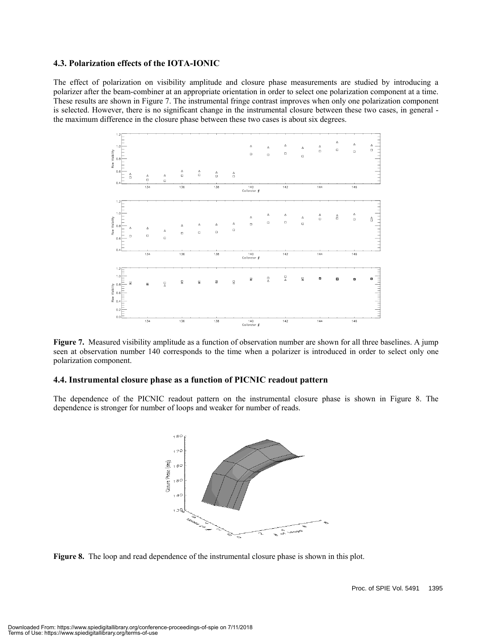#### **4.3. Polarization effects of the IOTA-IONIC**

The effect of polarization on visibility amplitude and closure phase measurements are studied by introducing a polarizer after the beam-combiner at an appropriate orientation in order to select one polarization component at a time. These results are shown in Figure 7. The instrumental fringe contrast improves when only one polarization component is selected. However, there is no significant change in the instrumental closure between these two cases, in general the maximum difference in the closure phase between these two cases is about six degrees.



**Figure 7.** Measured visibility amplitude as a function of observation number are shown for all three baselines. A jump seen at observation number 140 corresponds to the time when a polarizer is introduced in order to select only one polarization component.

#### **4.4. Instrumental closure phase as a function of PICNIC readout pattern**

The dependence of the PICNIC readout pattern on the instrumental closure phase is shown in Figure 8. The dependence is stronger for number of loops and weaker for number of reads.



**Figure 8.** The loop and read dependence of the instrumental closure phase is shown in this plot.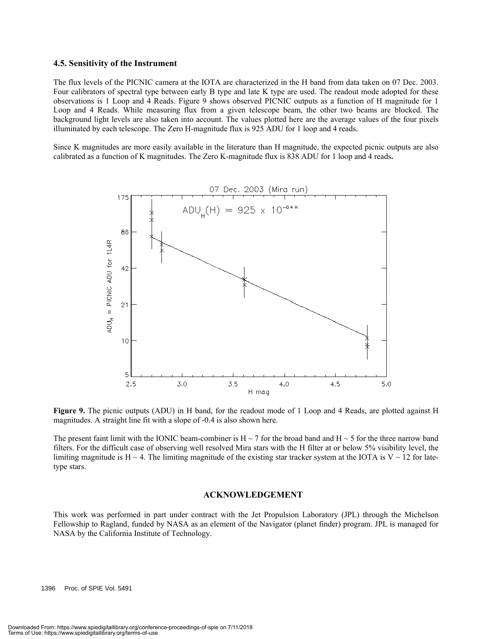#### **4.5. Sensitivity of the Instrument**

The flux levels of the PICNIC camera at the IOTA are characterized in the H band from data taken on 07 Dec. 2003. Four calibrators of spectral type between early B type and late K type are used. The readout mode adopted for these observations is 1 Loop and 4 Reads. Figure 9 shows observed PICNIC outputs as a function of H magnitude for 1 Loop and 4 Reads. While measuring flux from a given telescope beam, the other two beams are blocked. The background light levels are also taken into account. The values plotted here are the average values of the four pixels illuminated by each telescope. The Zero H-magnitude flux is 925 ADU for 1 loop and 4 reads.

Since K magnitudes are more easily available in the literature than H magnitude, the expected picnic outputs are also calibrated as a function of K magnitudes. The Zero K-magnitude flux is 838 ADU for 1 loop and 4 reads**.** 



**Figure 9.** The picnic outputs (ADU) in H band, for the readout mode of 1 Loop and 4 Reads, are plotted against H magnitudes. A straight line fit with a slope of -0.4 is also shown here.

The present faint limit with the IONIC beam-combiner is  $H \sim 7$  for the broad band and  $H \sim 5$  for the three narrow band filters. For the difficult case of observing well resolved Mira stars with the H filter at or below 5% visibility level, the limiting magnitude is  $H \sim 4$ . The limiting magnitude of the existing star tracker system at the IOTA is  $V \sim 12$  for latetype stars.

#### **ACKNOWLEDGEMENT**

This work was performed in part under contract with the Jet Propulsion Laboratory (JPL) through the Michelson Fellowship to Ragland, funded by NASA as an element of the Navigator (planet finder) program. JPL is managed for NASA by the California Institute of Technology.

1396 Proc. of SPIE Vol. 5491